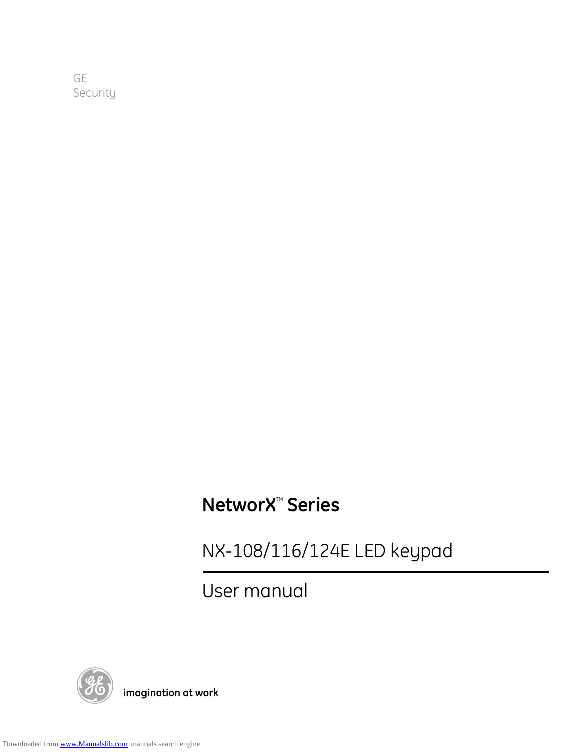GE Security

# **NetworX<sup>™</sup> Series**

NX-108/116/124E LED keypad

User manual



g **imagination at work**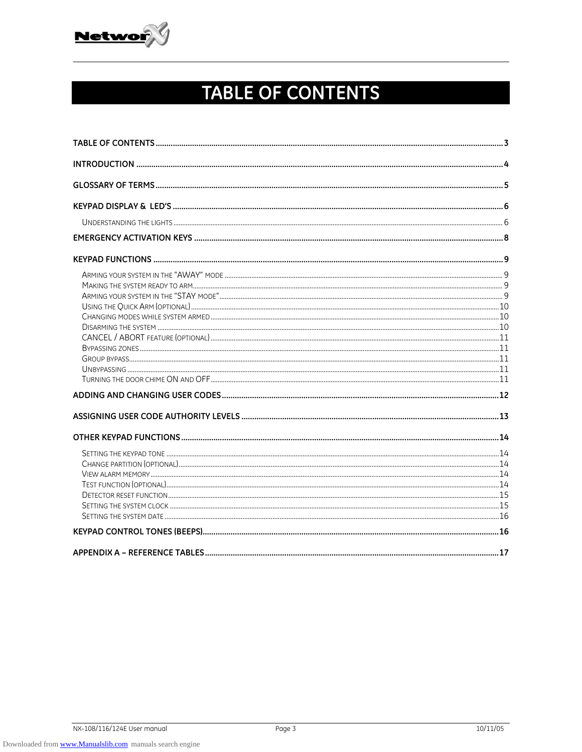

# TABLE OF CONTENTS

| SETTING THE SYSTEM CLOCK <b>CONDUCTED</b> UNIVERSITY OF A 15 YO FIND THE SYSTEM CLOCK CONDUCTED TO A 15 |  |
|---------------------------------------------------------------------------------------------------------|--|
|                                                                                                         |  |
|                                                                                                         |  |
|                                                                                                         |  |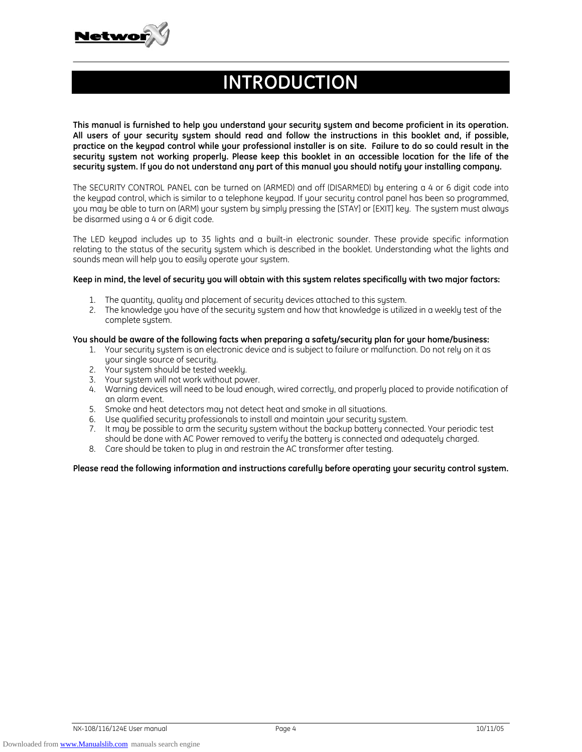

# **INTRODUCTION**

**This manual is furnished to help you understand your security system and become proficient in its operation. All users of your security system should read and follow the instructions in this booklet and, if possible, practice on the keypad control while your professional installer is on site. Failure to do so could result in the security system not working properly. Please keep this booklet in an accessible location for the life of the security system. If you do not understand any part of this manual you should notify your installing company.** 

The SECURITY CONTROL PANEL can be turned on (ARMED) and off (DISARMED) by entering a 4 or 6 digit code into the keypad control, which is similar to a telephone keypad. If your security control panel has been so programmed, you may be able to turn on (ARM) your system by simply pressing the [STAY] or [EXIT] key. The system must always be disarmed using a 4 or 6 digit code.

The LED keypad includes up to 35 lights and a built-in electronic sounder. These provide specific information relating to the status of the security system which is described in the booklet. Understanding what the lights and sounds mean will help you to easily operate your system.

#### **Keep in mind, the level of security you will obtain with this system relates specifically with two major factors:**

- 1. The quantity, quality and placement of security devices attached to this system.
- 2. The knowledge you have of the security system and how that knowledge is utilized in a weekly test of the complete system.

#### **You should be aware of the following facts when preparing a safety/security plan for your home/business:**

- 1. Your security system is an electronic device and is subject to failure or malfunction. Do not rely on it as your single source of security.
- 2. Your system should be tested weekly.
- 3. Your system will not work without power.
- 4. Warning devices will need to be loud enough, wired correctly, and properly placed to provide notification of an alarm event.
- 5. Smoke and heat detectors may not detect heat and smoke in all situations.
- 6. Use qualified security professionals to install and maintain your security system.
- 7. It may be possible to arm the security system without the backup battery connected. Your periodic test
- should be done with AC Power removed to verify the battery is connected and adequately charged.
- 8. Care should be taken to plug in and restrain the AC transformer after testing.

Please read the following information and instructions carefully before operating your security control system.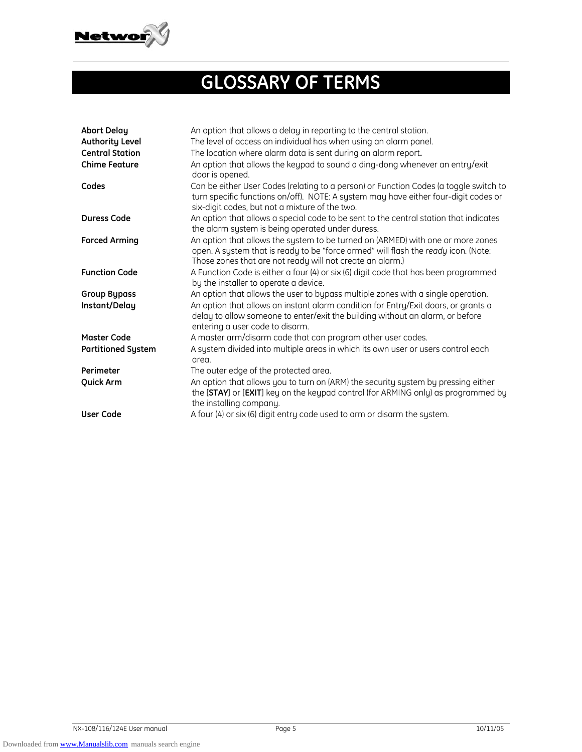

# **GLOSSARY OF TERMS**

| <b>Abort Delay</b><br><b>Authority Level</b><br><b>Central Station</b><br><b>Chime Feature</b> | An option that allows a delay in reporting to the central station.<br>The level of access an individual has when using an alarm panel.<br>The location where alarm data is sent during an alarm report.<br>An option that allows the keypad to sound a ding-dong whenever an entry/exit<br>door is opened. |
|------------------------------------------------------------------------------------------------|------------------------------------------------------------------------------------------------------------------------------------------------------------------------------------------------------------------------------------------------------------------------------------------------------------|
| Codes                                                                                          | Can be either User Codes (relating to a person) or Function Codes (a toggle switch to<br>turn specific functions on/off). NOTE: A system may have either four-digit codes or<br>six-digit codes, but not a mixture of the two.                                                                             |
| <b>Duress Code</b>                                                                             | An option that allows a special code to be sent to the central station that indicates<br>the alarm system is being operated under duress.                                                                                                                                                                  |
| <b>Forced Arming</b>                                                                           | An option that allows the system to be turned on (ARMED) with one or more zones<br>open. A system that is ready to be "force armed" will flash the ready icon. (Note:<br>Those zones that are not ready will not create an alarm.)                                                                         |
| <b>Function Code</b>                                                                           | A Function Code is either a four (4) or six (6) digit code that has been programmed<br>by the installer to operate a device.                                                                                                                                                                               |
| <b>Group Bypass</b>                                                                            | An option that allows the user to bypass multiple zones with a single operation.                                                                                                                                                                                                                           |
| Instant/Delay                                                                                  | An option that allows an instant alarm condition for Entry/Exit doors, or grants a<br>delay to allow someone to enter/exit the building without an alarm, or before<br>entering a user code to disarm.                                                                                                     |
| <b>Master Code</b>                                                                             | A master arm/disarm code that can program other user codes.                                                                                                                                                                                                                                                |
| <b>Partitioned System</b>                                                                      | A system divided into multiple areas in which its own user or users control each<br>area.                                                                                                                                                                                                                  |
| Perimeter                                                                                      | The outer edge of the protected area.                                                                                                                                                                                                                                                                      |
| Quick Arm                                                                                      | An option that allows you to turn on (ARM) the security system by pressing either<br>the [STAY] or [EXIT] key on the keypad control (for ARMING only) as programmed by<br>the installing company.                                                                                                          |
| <b>User Code</b>                                                                               | A four (4) or six (6) digit entry code used to arm or disarm the system.                                                                                                                                                                                                                                   |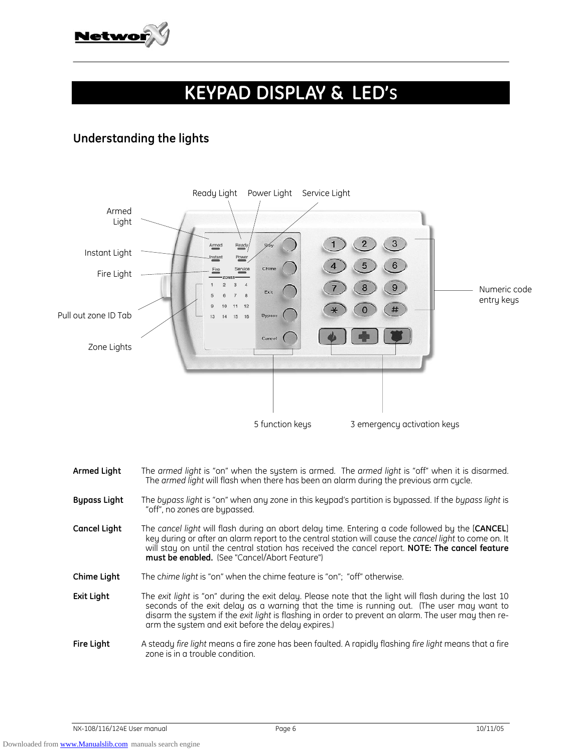

# **KEYPAD DISPLAY & LED'S**

# **Understanding the lights**



- **Armed Light** The *armed light* is "on" when the system is armed. The *armed light* is "off" when it is disarmed. The *armed light* will flash when there has been an alarm during the previous arm cycle.
- **Bypass Light** The *bypass light* is "on" when any zone in this keypad's partition is bypassed. If the *bypass light* is "off", no zones are bypassed.
- **Cancel Light** The *cancel light* will flash during an abort delay time. Entering a code followed by the [**CANCEL**] key during or after an alarm report to the central station will cause the *cancel light* to come on. It will stay on until the central station has received the cancel report. **NOTE: The cancel feature must be enabled.** (See "Cancel/Abort Feature")
- **Chime Light** The c*hime light* is "on" when the chime feature is "on"; "off" otherwise.
- **Exit Light** The *exit light* is "on" during the exit delay. Please note that the light will flash during the last 10 seconds of the exit delay as a warning that the time is running out. (The user may want to disarm the system if the *exit light* is flashing in order to prevent an alarm. The user may then rearm the system and exit before the delay expires.)
- **Fire Light** A steady *fire light* means a fire zone has been faulted. A rapidly flashing *fire light* means that a fire zone is in a trouble condition.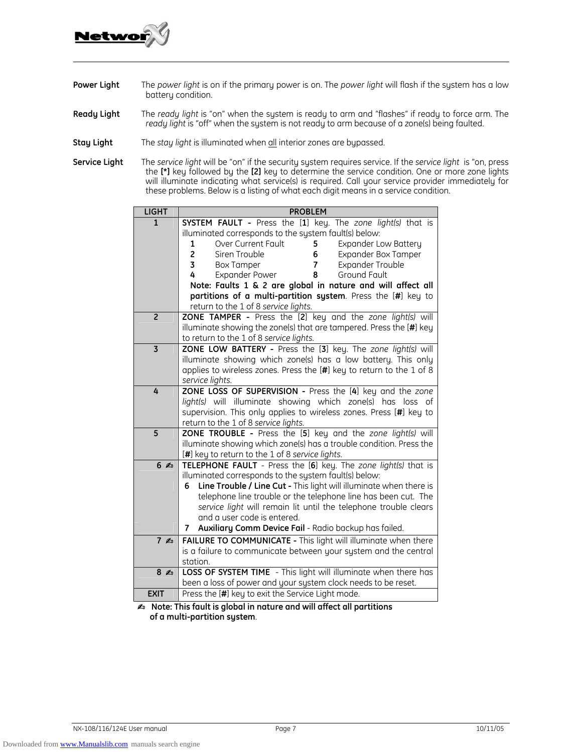

- **Power Light** The *power light* is on if the primary power is on. The *power light* will flash if the system has a low battery condition.
- **Ready Light** The *ready light* is "on" when the system is ready to arm and "flashes" if ready to force arm. The *ready light* is "off" when the system is not ready to arm because of a zone(s) being faulted.
- **Stay Light** The *stay light* is illuminated when all interior zones are bypassed.
- **Service Light** The *service light* will be "on" if the security system requires service. If the *service light* is "on, press the **[\*]** key followed by the **[2]** key to determine the service condition. One or more zone lights will illuminate indicating what service(s) is required. Call your service provider immediately for these problems. Below is a listing of what each digit means in a service condition.

| <b>LIGHT</b>   | <b>PROBLEM</b>                                                                                                                     |  |  |  |  |  |
|----------------|------------------------------------------------------------------------------------------------------------------------------------|--|--|--|--|--|
| $\mathbf{1}$   | SYSTEM FAULT - Press the [1] key. The zone light(s) that is                                                                        |  |  |  |  |  |
|                | illuminated corresponds to the system fault(s) below:                                                                              |  |  |  |  |  |
|                | Over Current Fault<br><b>Expander Low Battery</b><br>1<br>5                                                                        |  |  |  |  |  |
|                | $\overline{\mathbf{c}}$<br>Expander Box Tamper<br>Siren Trouble<br>6                                                               |  |  |  |  |  |
|                | 3<br><b>Box Tamper</b><br><b>Expander Trouble</b><br>7                                                                             |  |  |  |  |  |
|                | <b>Expander Power</b><br>Ground Fault<br>4<br>8                                                                                    |  |  |  |  |  |
|                | Note: Faults 1 & 2 are global in nature and will affect all                                                                        |  |  |  |  |  |
|                | partitions of a multi-partition system. Press the [#] key to                                                                       |  |  |  |  |  |
|                | return to the 1 of 8 service lights.                                                                                               |  |  |  |  |  |
| $\overline{2}$ | ZONE TAMPER - Press the [2] key and the zone light(s) will                                                                         |  |  |  |  |  |
|                | illuminate showing the zone(s) that are tampered. Press the [#] key                                                                |  |  |  |  |  |
|                | to return to the 1 of 8 service lights.                                                                                            |  |  |  |  |  |
| $\overline{3}$ | ZONE LOW BATTERY - Press the [3] key. The zone light(s) will                                                                       |  |  |  |  |  |
|                | illuminate showing which zone(s) has a low battery. This only                                                                      |  |  |  |  |  |
|                | applies to wireless zones. Press the [#] key to return to the 1 of 8                                                               |  |  |  |  |  |
|                | service lights.                                                                                                                    |  |  |  |  |  |
| 4              | ZONE LOSS OF SUPERVISION - Press the [4] key and the zone                                                                          |  |  |  |  |  |
|                | light(s) will illuminate showing which zone(s) has loss of                                                                         |  |  |  |  |  |
|                | supervision. This only applies to wireless zones. Press [#] key to                                                                 |  |  |  |  |  |
| $\overline{5}$ | return to the 1 of 8 service lights.                                                                                               |  |  |  |  |  |
|                | ZONE TROUBLE - Press the [5] key and the zone light(s) will<br>illuminate showing which zone(s) has a trouble condition. Press the |  |  |  |  |  |
|                | [#] key to return to the 1 of 8 service lights.                                                                                    |  |  |  |  |  |
| 6 <sup>4</sup> | TELEPHONE FAULT - Press the [6] key. The zone light(s) that is                                                                     |  |  |  |  |  |
|                | illuminated corresponds to the system fault(s) below:                                                                              |  |  |  |  |  |
|                | Line Trouble / Line Cut - This light will illuminate when there is<br>6                                                            |  |  |  |  |  |
|                | telephone line trouble or the telephone line has been cut. The                                                                     |  |  |  |  |  |
|                | service light will remain lit until the telephone trouble clears                                                                   |  |  |  |  |  |
|                | and a user code is entered.                                                                                                        |  |  |  |  |  |
|                | Auxiliary Comm Device Fail - Radio backup has failed.<br>7                                                                         |  |  |  |  |  |
| 7 <sub>4</sub> | FAILURE TO COMMUNICATE - This light will illuminate when there                                                                     |  |  |  |  |  |
|                | is a failure to communicate between your system and the central                                                                    |  |  |  |  |  |
|                | station.                                                                                                                           |  |  |  |  |  |
| 8 <sub>4</sub> | LOSS OF SYSTEM TIME - This light will illuminate when there has                                                                    |  |  |  |  |  |
|                | been a loss of power and your system clock needs to be reset.                                                                      |  |  |  |  |  |
| <b>EXIT</b>    | Press the [#] key to exit the Service Light mode.                                                                                  |  |  |  |  |  |
|                | Lota This fault is alohal in nature and will affect all partitions                                                                 |  |  |  |  |  |

N **Note: This fault is global in nature and will affect all partitions of a multi-partition system**.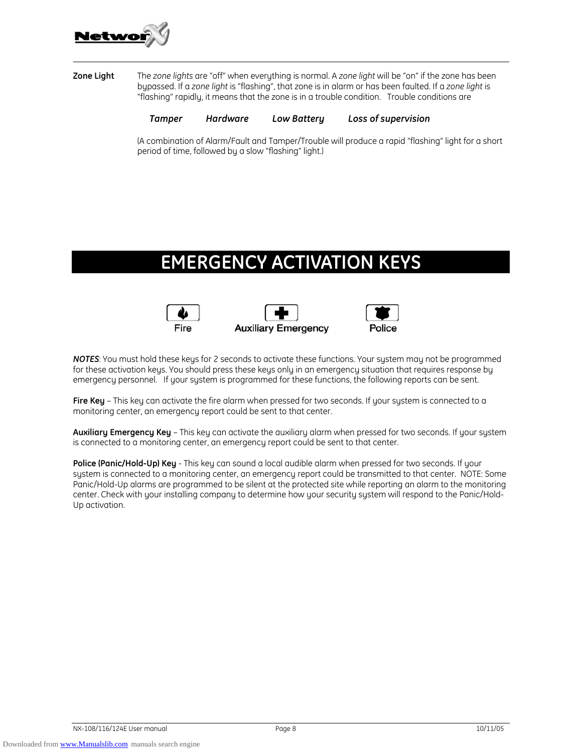

### **Zone Light** The *zone lights* are "off" when everything is normal. A *zone light* will be "on" if the zone has been bypassed. If a *zone light* is "flashing", that zone is in alarm or has been faulted. If a *zone light* is "flashing" rapidly, it means that the zone is in a trouble condition. Trouble conditions are

 *Tamper Hardware Low Battery Loss of supervision*

(A combination of Alarm/Fault and Tamper/Trouble will produce a rapid "flashing" light for a short period of time, followed by a slow "flashing" light.)

# **EMERGENCY ACTIVATION KEYS**







**NOTES:** You must hold these keus for 2 seconds to activate these functions. Your system may not be programmed for these activation keys. You should press these keys only in an emergency situation that requires response by emergency personnel. If your system is programmed for these functions, the following reports can be sent.

**Fire Key** – This key can activate the fire alarm when pressed for two seconds. If your system is connected to a monitoring center, an emergency report could be sent to that center.

**Auxiliary Emergency Key** – This key can activate the auxiliary alarm when pressed for two seconds. If your system is connected to a monitoring center, an emergency report could be sent to that center.

**Police (Panic/Hold-Up) Key** - This key can sound a local audible alarm when pressed for two seconds. If your system is connected to a monitoring center, an emergency report could be transmitted to that center. NOTE: Some Panic/Hold-Up alarms are programmed to be silent at the protected site while reporting an alarm to the monitoring center. Check with your installing company to determine how your security system will respond to the Panic/Hold-Up activation.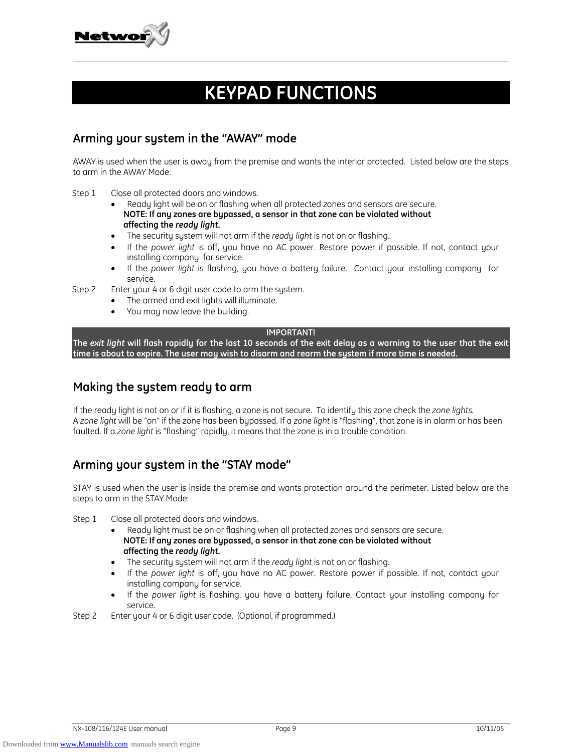

# **KEYPAD FUNCTIONS**

### **Arming your system in the "AWAY" mode**

AWAY is used when the user is away from the premise and wants the interior protected. Listed below are the steps to arm in the AWAY Mode:

Step 1 Close all protected doors and windows.

- Ready light will be on or flashing when all protected zones and sensors are secure.  **NOTE: If any zones are bypassed, a sensor in that zone can be violated without affecting the** *ready light.*
- The security system will not arm if the *ready light* is not on or flashing.
- If the *power light* is off, you have no AC power. Restore power if possible. If not, contact your installing company for service.
- If the *power light* is flashing, you have a battery failure. Contact your installing company for service.

Step 2 Enter your 4 or 6 digit user code to arm the system.

- The armed and exit lights will illuminate.
- You may now leave the building.

### **IMPORTANT!**

**The** *exit light* **will flash rapidly for the last 10 seconds of the exit delay as a warning to the user that the exit time is about to expire. The user may wish to disarm and rearm the system if more time is needed.** 

## **Making the system ready to arm**

If the ready light is not on or if it is flashing, a zone is not secure. To identify this zone check the *zone lights.* A *zone light* will be "on" if the zone has been bypassed. If a *zone light* is "flashing", that zone is in alarm or has been faulted. If a *zone light* is "flashing" rapidly, it means that the zone is in a trouble condition.

## **Arming your system in the "STAY mode"**

STAY is used when the user is inside the premise and wants protection around the perimeter. Listed below are the steps to arm in the STAY Mode:

Step 1 Close all protected doors and windows.

- Ready light must be on or flashing when all protected zones and sensors are secure.  **NOTE: If any zones are bypassed, a sensor in that zone can be violated without affecting the** *ready light.*
- The security system will not arm if the *ready light* is not on or flashing.
- If the *power light* is off, you have no AC power. Restore power if possible. If not, contact your installing company for service.
- If the *power light* is flashing, you have a battery failure. Contact your installing company for service.

Step 2 Enter your 4 or 6 digit user code. (Optional, if programmed.)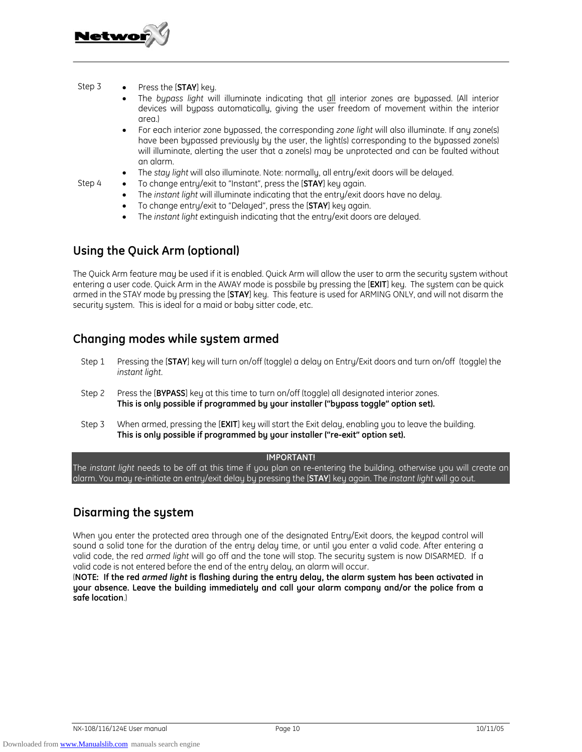

#### Step 3 • Press the [**STAY**] key.

- The *bypass light* will illuminate indicating that all interior zones are bypassed. (All interior devices will bypass automatically, giving the user freedom of movement within the interior area.)
- For each interior zone bypassed, the corresponding *zone light* will also illuminate. If any zone(s) have been bypassed previously by the user, the light(s) corresponding to the bypassed zone(s) will illuminate, alerting the user that a zone(s) may be unprotected and can be faulted without an alarm.
- The *stay light* will also illuminate. Note: normally, all entry/exit doors will be delayed.
- Step 4 To change entry/exit to "Instant", press the [**STAY**] key again.
	- The *instant light* will illuminate indicating that the entry/exit doors have no delay.
	- To change entry/exit to "Delayed", press the [**STAY**] key again.
	- The *instant light* extinguish indicating that the entry/exit doors are delayed.

## **Using the Quick Arm (optional)**

The Quick Arm feature may be used if it is enabled. Quick Arm will allow the user to arm the security system without entering a user code. Quick Arm in the AWAY mode is possbile by pressing the [**EXIT**] key. The system can be quick armed in the STAY mode by pressing the [**STAY**] key. This feature is used for ARMING ONLY, and will not disarm the security system. This is ideal for a maid or baby sitter code, etc.

## **Changing modes while system armed**

- Step 1 Pressing the [**STAY**] key will turn on/off (toggle) a delay on Entry/Exit doors and turn on/off (toggle) the *instant light*.
- Step 2 Press the [**BYPASS**] key at this time to turn on/off (toggle) all designated interior zones. **This is only possible if programmed by your installer ("bypass toggle" option set).**
- Step 3 When armed, pressing the [**EXIT**] key will start the Exit delay, enabling you to leave the building. **This is only possible if programmed by your installer ("re-exit" option set).**

### **IMPORTANT!**

The *instant light* needs to be off at this time if you plan on re-entering the building, otherwise you will create an alarm. You may re-initiate an entry/exit delay by pressing the [**STAY**] key again. The *instant light* will go out.

# **Disarming the system**

When you enter the protected area through one of the designated Entry/Exit doors, the keypad control will sound a solid tone for the duration of the entry delay time, or until you enter a valid code. After entering a valid code, the red *armed light* will go off and the tone will stop. The security system is now DISARMED. If a valid code is not entered before the end of the entry delay, an alarm will occur.

(**NOTE: If the red** *armed light* **is flashing during the entry delay, the alarm system has been activated in your absence. Leave the building immediately and call your alarm company and/or the police from a safe location**.)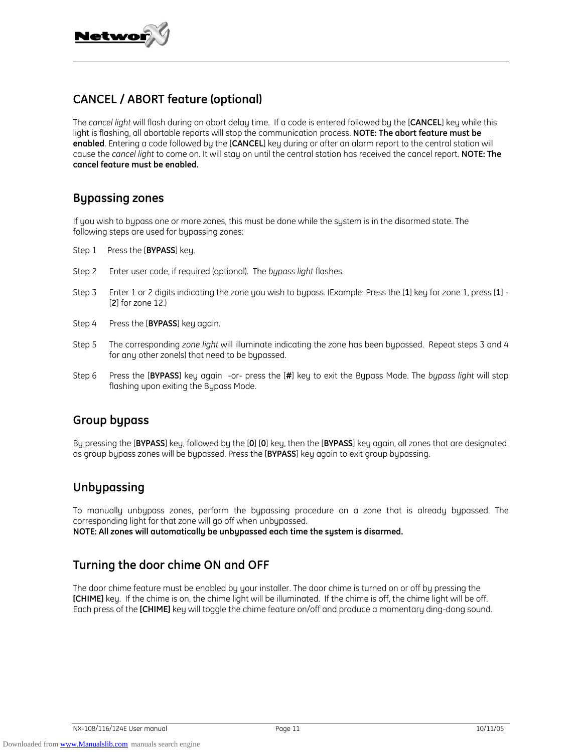

## **CANCEL / ABORT feature (optional)**

The *cancel light* will flash during an abort delay time. If a code is entered followed by the [**CANCEL**] key while this light is flashing, all abortable reports will stop the communication process. **NOTE: The abort feature must be enabled**. Entering a code followed by the [**CANCEL**] key during or after an alarm report to the central station will cause the *cancel light* to come on. It will stay on until the central station has received the cancel report. **NOTE: The cancel feature must be enabled.** 

## **Bypassing zones**

If you wish to bypass one or more zones, this must be done while the system is in the disarmed state. The following steps are used for bypassing zones:

- Step 1 Press the [**BYPASS**] key.
- Step 2 Enter user code, if required (optional). The *bypass light* flashes.
- Step 3 Enter 1 or 2 digits indicating the zone you wish to bypass. (Example: Press the [**1**] key for zone 1, press [**1**] [**2**] for zone 12.)
- Step 4 Press the [**BYPASS**] key again.
- Step 5 The corresponding *zone light* will illuminate indicating the zone has been bypassed. Repeat steps 3 and 4 for any other zone(s) that need to be bypassed.
- Step 6 Press the [**BYPASS**] key again -or- press the [**#**] key to exit the Bypass Mode. The *bypass light* will stop flashing upon exiting the Bypass Mode.

### **Group bypass**

By pressing the [**BYPASS**] key, followed by the [**0**] [**0**] key, then the [**BYPASS**] key again, all zones that are designated as group bypass zones will be bypassed. Press the [**BYPASS**] key again to exit group bypassing.

## **Unbypassing**

To manually unbypass zones, perform the bypassing procedure on a zone that is already bypassed. The corresponding light for that zone will go off when unbypassed.

**NOTE: All zones will automatically be unbypassed each time the system is disarmed.** 

# **Turning the door chime ON and OFF**

The door chime feature must be enabled by your installer. The door chime is turned on or off by pressing the **[CHIME]** key. If the chime is on, the chime light will be illuminated. If the chime is off, the chime light will be off. Each press of the **[CHIME]** key will toggle the chime feature on/off and produce a momentary ding-dong sound.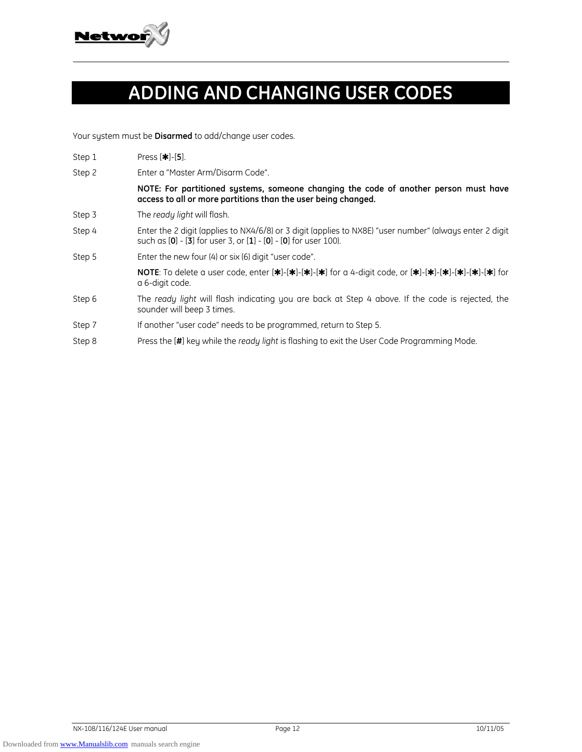

# **ADDING AND CHANGING USER CODES**

Your system must be **Disarmed** to add/change user codes.

- **Step 1** Press [ $\star$ ]-[5].
- Step 2 Enter a "Master Arm/Disarm Code".

**NOTE: For partitioned systems, someone changing the code of another person must have access to all or more partitions than the user being changed.** 

- Step 3 The *ready light* will flash.
- Step 4 Enter the 2 digit (applies to NX4/6/8) or 3 digit (applies to NX8E) "user number" (always enter 2 digit such as [**0**] - [**3**] for user 3, or [**1**] - [**0**] - [**0**] for user 100).
- Step 5 Enter the new four (4) or six (6) digit "user code".

**NOTE**: To delete a user code, enter  $[\mathbf{\ast}]$ - $[\mathbf{\ast}]$ - $[\mathbf{\ast}]$ - $[\mathbf{\ast}]$  for a 4-digit code, or  $[\mathbf{\ast}]$ - $[\mathbf{\ast}]$ - $[\mathbf{\ast}]$ - $[\mathbf{\ast}]$ - $[\mathbf{\ast}]$  for a 6-digit code.

- Step 6 The *ready light* will flash indicating you are back at Step 4 above. If the code is rejected, the sounder will beep 3 times.
- Step 7 If another "user code" needs to be programmed, return to Step 5.
- Step 8 Press the [**#**] key while the *ready light* is flashing to exit the User Code Programming Mode.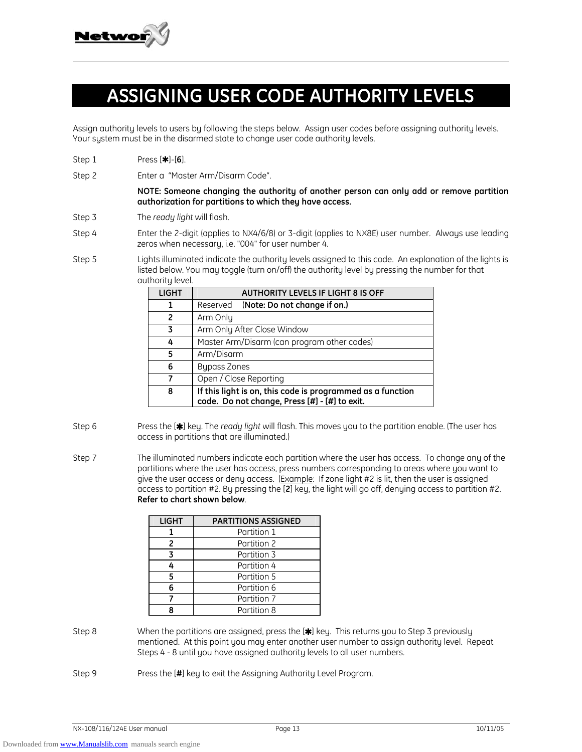

# **ASSIGNING USER CODE AUTHORITY LEVELS**

Assign authority levels to users by following the steps below. Assign user codes before assigning authority levels. Your system must be in the disarmed state to change user code authority levels.

- **Step 1** Press [ $*$ ]-[6].
- Step 2 Enter a "Master Arm/Disarm Code".

**NOTE: Someone changing the authority of another person can only add or remove partition authorization for partitions to which they have access.** 

- Step 3 The *ready light* will flash.
- Step 4 Enter the 2-digit (applies to NX4/6/8) or 3-digit (applies to NX8E) user number. Always use leading zeros when necessary, i.e. "004" for user number 4.
- Step 5 Lights illuminated indicate the authority levels assigned to this code. An explanation of the lights is listed below. You may toggle (turn on/off) the authority level by pressing the number for that authority level.

| <b>LIGHT</b>   | <b>AUTHORITY LEVELS IF LIGHT 8 IS OFF</b>                                                                   |  |  |  |
|----------------|-------------------------------------------------------------------------------------------------------------|--|--|--|
| 1              | (Note: Do not change if on.)<br>Reserved                                                                    |  |  |  |
| $\overline{2}$ | Arm Only                                                                                                    |  |  |  |
| 3              | Arm Only After Close Window                                                                                 |  |  |  |
| 4              | Master Arm/Disarm (can program other codes)                                                                 |  |  |  |
| 5              | Arm/Disarm                                                                                                  |  |  |  |
| 6              | <b>Bypass Zones</b>                                                                                         |  |  |  |
|                | Open / Close Reporting                                                                                      |  |  |  |
| 8              | If this light is on, this code is programmed as a function<br>code. Do not change, Press [#] - [#] to exit. |  |  |  |

- Step 6 Press the [<sup>\*</sup>] key. The *ready light* will flash. This moves you to the partition enable. (The user has access in partitions that are illuminated.)
- Step 7 The illuminated numbers indicate each partition where the user has access. To change any of the partitions where the user has access, press numbers corresponding to areas where you want to give the user access or deny access. (Example: If zone light #2 is lit, then the user is assigned access to partition #2. By pressing the [**2**] key, the light will go off, denying access to partition #2. **Refer to chart shown below**.

| <b>LIGHT</b> | <b>PARTITIONS ASSIGNED</b> |
|--------------|----------------------------|
|              | Partition 1                |
| 2            | Partition 2                |
| 3            | Partition 3                |
|              | Partition 4                |
| 5            | Partition 5                |
| 6            | Partition 6                |
|              | Partition 7                |
|              | Partition 8                |

- Step 8 When the partitions are assigned, press the [ $\blacktriangleright$ ] key. This returns you to Step 3 previously mentioned. At this point you may enter another user number to assign authority level. Repeat Steps 4 - 8 until you have assigned authority levels to all user numbers.
- Step 9 Press the [**#**] key to exit the Assigning Authority Level Program.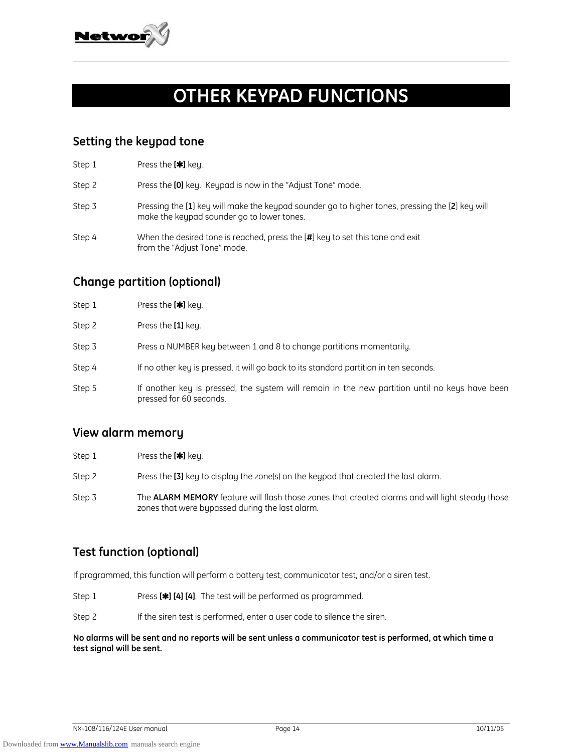

# **OTHER KEYPAD FUNCTIONS**

## **Setting the keypad tone**

| Step 1 | Press the [ <sup>*</sup> ] key.                                                                                                               |
|--------|-----------------------------------------------------------------------------------------------------------------------------------------------|
| Step 2 | Press the [0] key. Keypad is now in the "Adjust Tone" mode.                                                                                   |
| Step 3 | Pressing the [1] key will make the keypad sounder go to higher tones, pressing the [2] key will<br>make the keypad sounder go to lower tones. |
| Step 4 | When the desired tone is reached, press the [#] key to set this tone and exit<br>from the "Adjust Tone" mode.                                 |

# **Change partition (optional)**

| Step 2<br>Press the [1] key.<br>Step 3<br>Press a NUMBER key between 1 and 8 to change partitions momentarily.<br>Step 4<br>If no other key is pressed, it will go back to its standard partition in ten seconds.<br>Step 5<br>pressed for 60 seconds. | Step 1 | Press the [ <sup>*</sup> ] key.                                                                |
|--------------------------------------------------------------------------------------------------------------------------------------------------------------------------------------------------------------------------------------------------------|--------|------------------------------------------------------------------------------------------------|
|                                                                                                                                                                                                                                                        |        |                                                                                                |
|                                                                                                                                                                                                                                                        |        |                                                                                                |
|                                                                                                                                                                                                                                                        |        |                                                                                                |
|                                                                                                                                                                                                                                                        |        | If another key is pressed, the system will remain in the new partition until no keys have been |

## **View alarm memory**

- Step 1 Press the **[**r**]** key.
- Step 2 Press the **[3]** key to display the zone(s) on the keypad that created the last alarm.
- Step 3 The **ALARM MEMORY** feature will flash those zones that created alarms and will light steady those zones that were bypassed during the last alarm.

# **Test function (optional)**

If programmed, this function will perform a battery test, communicator test, and/or a siren test.

- Step 1 **Press [\*] [4] [4].** The test will be performed as programmed.
- Step 2 If the siren test is performed, enter a user code to silence the siren.

### **No alarms will be sent and no reports will be sent unless a communicator test is performed, at which time a test signal will be sent.**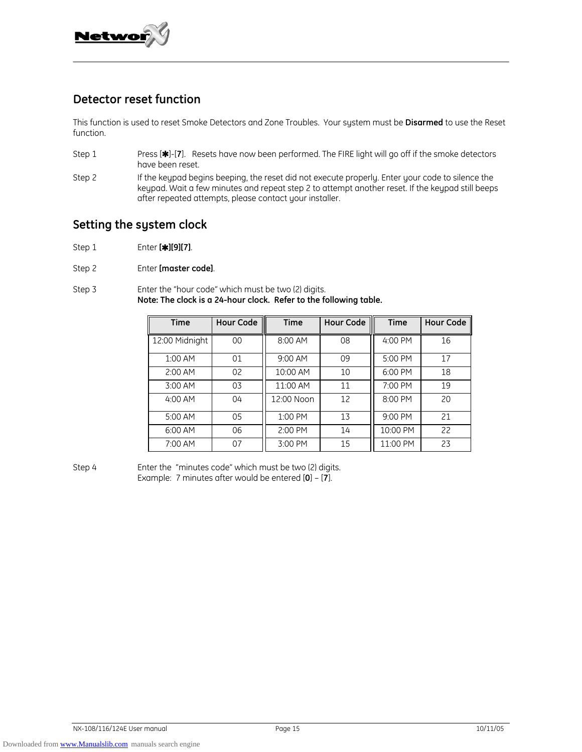

## **Detector reset function**

This function is used to reset Smoke Detectors and Zone Troubles. Your system must be **Disarmed** to use the Reset function.

- Step 1 Press [\*]-[7]. Resets have now been performed. The FIRE light will go off if the smoke detectors have been reset.
- Step 2 If the keypad begins beeping, the reset did not execute properly. Enter your code to silence the keypad. Wait a few minutes and repeat step 2 to attempt another reset. If the keypad still beeps after repeated attempts, please contact your installer.

### **Setting the system clock**

- Step 1 Enter **[**r**][9][7]**.
- Step 2 Enter **[master code]**.

Step 3 Enter the "hour code" which must be two (2) digits. **Note: The clock is a 24-hour clock. Refer to the following table.** 

| <b>Time</b>    | Hour Code | <b>Time</b> | <b>Hour Code</b> | <b>Time</b> | <b>Hour Code</b> |
|----------------|-----------|-------------|------------------|-------------|------------------|
| 12:00 Midnight | 00        | 8:00 AM     | 08               | 4:00 PM     | 16               |
| 1:00 AM        | 01        | 9:00 AM     | 09               | 5:00 PM     | 17               |
| 2:00 AM        | 02        | 10:00 AM    | 10               | 6:00 PM     | 18               |
| 3:00 AM        | 03        | 11:00 AM    | 11               | 7:00 PM     | 19               |
| 4:00 AM        | 04        | 12:00 Noon  | 12               | 8:00 PM     | 20               |
| 5:00 AM        | 05        | 1:00 PM     | 13               | 9:00 PM     | 21               |
| 6:00 AM        | 06        | 2:00 PM     | 14               | 10:00 PM    | 22               |
| 7:00 AM        | 07        | 3:00 PM     | 15               | 11:00 PM    | 23               |

Step 4 Enter the "minutes code" which must be two (2) digits. Example: 7 minutes after would be entered [**0**] – [**7**].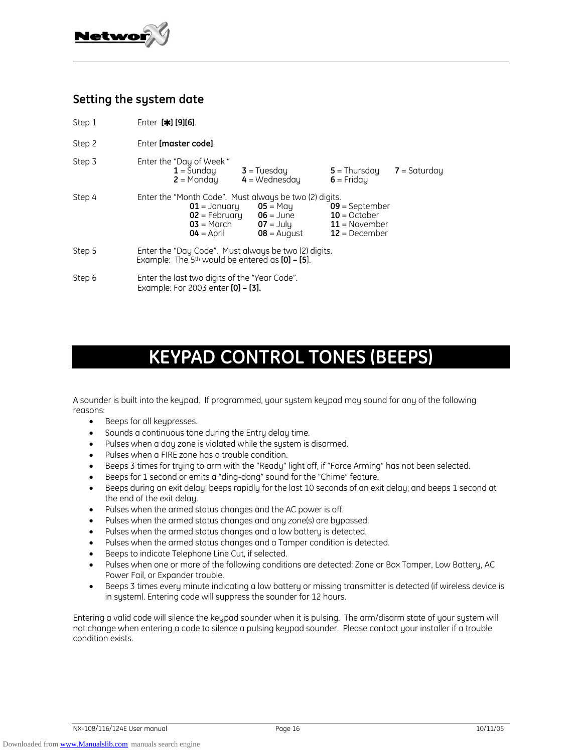

# **Setting the system date**

- Step 1 Enter **[**r**] [9][6]**.
- Step 2 Enter **[master code]**.

| Step 3 | Enter the "Day of Week"<br>$1 =$ Sunday<br>$2 =$ Monday           | $3 = Tuesday$<br>$4 =$ Wednesday                                                                                    | $5 =$ Thursday<br>$6 =$ Fridau                                           | $7 =$ Saturday |
|--------|-------------------------------------------------------------------|---------------------------------------------------------------------------------------------------------------------|--------------------------------------------------------------------------|----------------|
| Step 4 | $01 =$ January<br>$02$ = February<br>$03$ = March<br>$04 =$ April | Enter the "Month Code". Must always be two (2) digits.<br>$05 =$ Mau<br>$06 = June$<br>$07 =$ July<br>$08 =$ August | $09$ = September<br>$10 = October$<br>$11 =$ November<br>$12 = December$ |                |
| Step 5 | Example: The $5th$ would be entered as $[0]$ – $[5]$ .            | Enter the "Day Code". Must always be two (2) digits.                                                                |                                                                          |                |
| Step 6 | Enter the last two digits of the "Year Code".                     |                                                                                                                     |                                                                          |                |

Example: For 2003 enter **[0] – [3].** 

# **KEYPAD CONTROL TONES (BEEPS)**

A sounder is built into the keypad. If programmed, your system keypad may sound for any of the following reasons:

- Beeps for all keypresses.
- Sounds a continuous tone during the Entry delay time.
- Pulses when a day zone is violated while the system is disarmed.
- Pulses when a FIRE zone has a trouble condition.
- Beeps 3 times for trying to arm with the "Ready" light off, if "Force Arming" has not been selected.
- Beeps for 1 second or emits a "ding-dong" sound for the "Chime" feature.
- Beeps during an exit delay; beeps rapidly for the last 10 seconds of an exit delay; and beeps 1 second at the end of the exit delay.
- Pulses when the armed status changes and the AC power is off.
- Pulses when the armed status changes and any zone(s) are bypassed.
- Pulses when the armed status changes and a low battery is detected.
- Pulses when the armed status changes and a Tamper condition is detected.
- Beeps to indicate Telephone Line Cut, if selected.
- Pulses when one or more of the following conditions are detected: Zone or Box Tamper, Low Battery, AC Power Fail, or Expander trouble.
- Beeps 3 times every minute indicating a low battery or missing transmitter is detected (if wireless device is in system). Entering code will suppress the sounder for 12 hours.

Entering a valid code will silence the keypad sounder when it is pulsing. The arm/disarm state of your system will not change when entering a code to silence a pulsing keypad sounder. Please contact your installer if a trouble condition exists.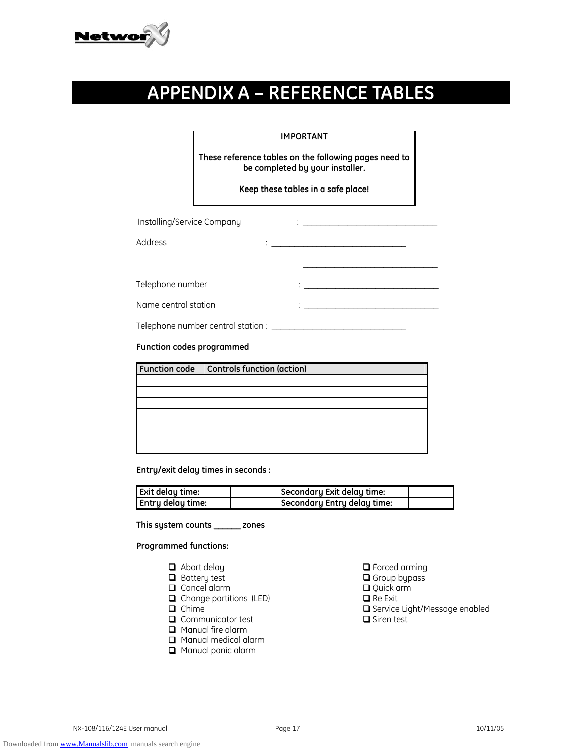

# **APPENDIX A – REFERENCE TABLES**

### **IMPORTANT**

**These reference tables on the following pages need to be completed by your installer.** 

**Keep these tables in a safe place!**

| Installing/Service Company |   | ٠       |
|----------------------------|---|---------|
| Address                    | ٠ |         |
|                            |   |         |
| Telephone number           |   |         |
| Name central station       |   | $\cdot$ |

Telephone number central station : \_\_\_\_\_\_\_\_\_\_\_\_\_\_\_\_\_\_\_\_\_\_\_\_\_\_\_\_\_\_

#### **Function codes programmed**

| <b>Function code</b> | Controls function (action) |
|----------------------|----------------------------|
|                      |                            |
|                      |                            |
|                      |                            |
|                      |                            |
|                      |                            |
|                      |                            |
|                      |                            |

**Entry/exit delay times in seconds :** 

| <b>Exit delay time:</b> | Secondary Exit delay time:  |  |
|-------------------------|-----------------------------|--|
| Entry delay time:       | Secondary Entry delay time: |  |

**This system counts \_\_\_\_\_\_ zones** 

**Programmed functions:** 

- 
- 
- 
- Change partitions (LED) Re Exit
- 
- $\Box$  Communicator test  $\Box$  Siren test
- **Q** Manual fire alarm
- **Q** Manual medical alarm
- **Q** Manual panic alarm
- Abort delay Forced arming
	- **Q** Group bypass
- **Q** Cancel alarm **Q** Cancel alarm **Q** Cancel alarm
	-
	- □ Service Light/Message enabled
	-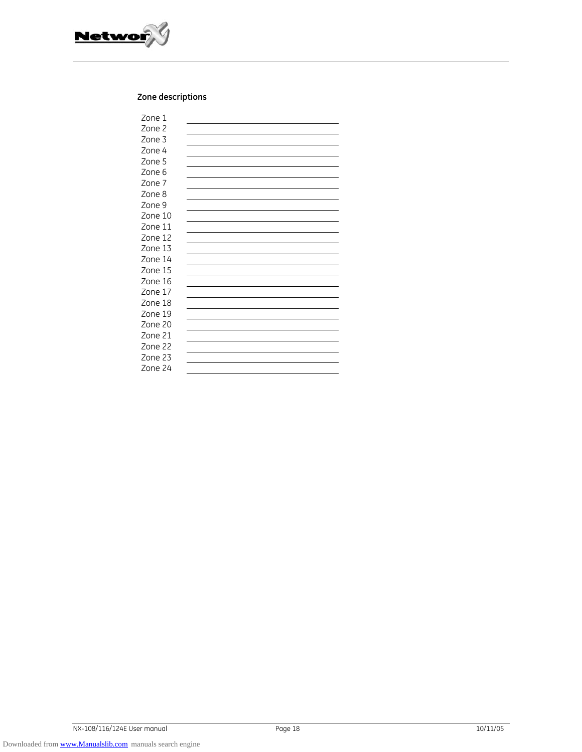

### **Zone descriptions**

| Zone 1  |  |
|---------|--|
| Zone 2  |  |
| Zone 3  |  |
| Zone 4  |  |
| Zone 5  |  |
| Zone 6  |  |
| Zone 7  |  |
| Zone 8  |  |
| Zone 9  |  |
| Zone 10 |  |
| Zone 11 |  |
| Zone 12 |  |
| Zone 13 |  |
| Zone 14 |  |
| Zone 15 |  |
| Zone 16 |  |
| Zone 17 |  |
| Zone 18 |  |
| Zone 19 |  |
| Zone 20 |  |
| Zone 21 |  |
| Zone 22 |  |
| Zone 23 |  |
| Zone 24 |  |